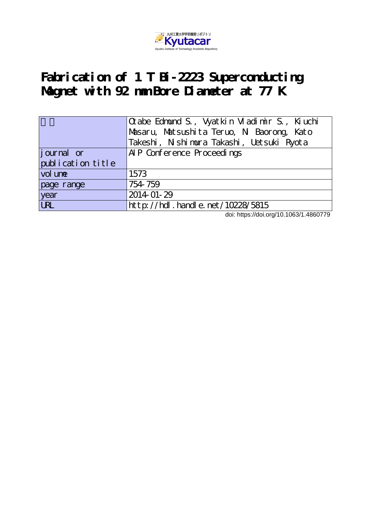

# **Fabrication of 1 T Bi-2223 Superconducting Magnet with 92 mm Bore Diameter at 77 K**

|                   | $\alpha$ abe Edmund S., Vyatkin Vladimir S., Kiuchi |  |  |
|-------------------|-----------------------------------------------------|--|--|
|                   | Masaru, Matsushita Teruo, N. Baorong, Kato          |  |  |
|                   | Takeshi, Nishimura Takashi, Uetsuki Ryota           |  |  |
| journal or        | AIP Conference Proceedings                          |  |  |
| publication title |                                                     |  |  |
| vol une           | 1573                                                |  |  |
| page range        | 754-759                                             |  |  |
| year              | 2014-01-29                                          |  |  |
| <b>URL</b>        | http://hdl.handle.net/10228/5815                    |  |  |

doi: https://doi.org/10.1063/1.4860779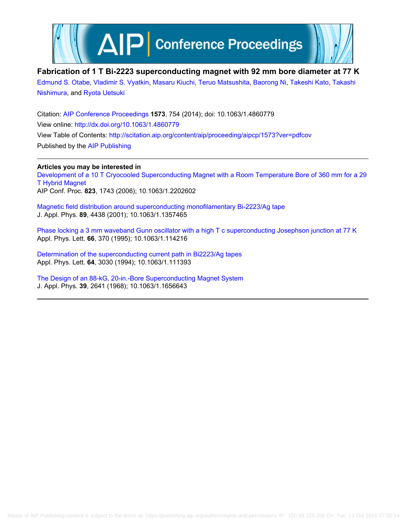

# **Fabrication of 1 T Bi-2223 superconducting magnet with 92 mm bore diameter at 77 K**

[Edmund S. Otabe](http://scitation.aip.org/search?value1=Edmund+S.+Otabe&option1=author), [Vladimir S. Vyatkin,](http://scitation.aip.org/search?value1=Vladimir+S.+Vyatkin&option1=author) [Masaru Kiuchi,](http://scitation.aip.org/search?value1=Masaru+Kiuchi&option1=author) [Teruo Matsushita](http://scitation.aip.org/search?value1=Teruo+Matsushita&option1=author), [Baorong Ni,](http://scitation.aip.org/search?value1=Baorong+Ni&option1=author) [Takeshi Kato,](http://scitation.aip.org/search?value1=Takeshi+Kato&option1=author) [Takashi](http://scitation.aip.org/search?value1=Takashi+Nishimura&option1=author) [Nishimura](http://scitation.aip.org/search?value1=Takashi+Nishimura&option1=author), and [Ryota Uetsuki](http://scitation.aip.org/search?value1=Ryota+Uetsuki&option1=author)

Citation: [AIP Conference Proceedings](http://scitation.aip.org/content/aip/proceeding/aipcp?ver=pdfcov) **1573**, 754 (2014); doi: 10.1063/1.4860779 View online: <http://dx.doi.org/10.1063/1.4860779> View Table of Contents: <http://scitation.aip.org/content/aip/proceeding/aipcp/1573?ver=pdfcov> Published by the [AIP Publishing](http://scitation.aip.org/content/aip?ver=pdfcov)

**Articles you may be interested in** [Development of a 10 T Cryocooled Superconducting Magnet with a Room Temperature Bore of 360 mm for a 29](http://scitation.aip.org/content/aip/proceeding/aipcp/10.1063/1.2202602?ver=pdfcov) [T Hybrid Magnet](http://scitation.aip.org/content/aip/proceeding/aipcp/10.1063/1.2202602?ver=pdfcov) AIP Conf. Proc. **823**, 1743 (2006); 10.1063/1.2202602

[Magnetic field distribution around superconducting monofilamentary Bi-2223/Ag tape](http://scitation.aip.org/content/aip/journal/jap/89/8/10.1063/1.1357465?ver=pdfcov) J. Appl. Phys. **89**, 4438 (2001); 10.1063/1.1357465

[Phase locking a 3 mm waveband Gunn oscillator with a high T c superconducting Josephson junction at 77 K](http://scitation.aip.org/content/aip/journal/apl/66/3/10.1063/1.114216?ver=pdfcov) Appl. Phys. Lett. **66**, 370 (1995); 10.1063/1.114216

[Determination of the superconducting current path in Bi2223/Ag tapes](http://scitation.aip.org/content/aip/journal/apl/64/22/10.1063/1.111393?ver=pdfcov) Appl. Phys. Lett. **64**, 3030 (1994); 10.1063/1.111393

[The Design of an 88‐kG, 20‐in.‐Bore Superconducting Magnet System](http://scitation.aip.org/content/aip/journal/jap/39/6/10.1063/1.1656643?ver=pdfcov) J. Appl. Phys. **39**, 2641 (1968); 10.1063/1.1656643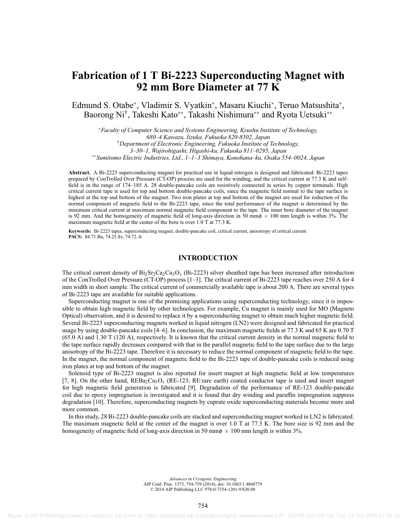# **Fabrication of 1 T Bi-2223 Superconducting Magnet with 92 mm Bore Diameter at 77 K**

Edmund S. Otabe\*, Vladimir S. Vyatkin\*, Masaru Kiuchi\*, Teruo Matsushita\*, Baorong Ni† , Takeshi Kato∗∗, Takashi Nishimura∗∗ and Ryota Uetsuki∗∗

<sup>∗</sup>*Faculty of Computer Science and Systems Engineering, Kyushu Institute of Technology, 680–4 Kawazu, Iizuka, Fukuoka 820-8502, Japan* †*Department of Electronic Engineering, Fukuoka Institute of Technology, 3–30–1, Wajirohigashi, Higashi-ku, Fukuoka 811–0295, Japan* ∗∗*Sumitomo Electric Industries, Ltd., 1–1–3 Shimaya, Konohana–ku, Osaka 554–0024, Japan*

**Abstract.** A Bi-2223 superconducting magnet for practical use in liquid nitrogen is designed and fabricated. Bi-2223 tapes prepared by ConTrolled Over Pressure (CT-OP) process are used for the winding, and the critical current at 77.3 K and selffield is in the range of 174–185 A. 28 double-pancake coils are resistively connected in series by copper terminals. High critical current tape is used for top and bottom double-pancake coils, since the magnetic field normal to the tape surface is highest at the top and bottom of the magnet. Two iron plates at top and bottom of the magnet are used for reduction of the normal component of magnetic field to the Bi-2223 tape, since the total performance of the magnet is determined by the minimum critical current at maximum normal magnetic field component to the tape. The inner bore diameter of the magnet is 92 mm. And the homogeneity of magnetic field of long-axis direction in 50 mm $\phi \times 100$  mm length is within 3%. The maximum magnetic field at the center of the bore is over 1.0 T at 77.3 K.

**Keywords:** Bi-2223 tapes, superconducting magnet, double-pancake coil, critical current, anisotropy of critical current **PACS:** 84.71.Ba, 74.25.Sv, 74.72.-h

# **INTRODUCTION**

The critical current density of  $Bi_2Sr_2Ca_2Cu_3O_x$  (Bi-2223) silver sheathed tape has been increased after introduction of the ConTrolled Over Pressure (CT-OP) process [1–3]. The critical current of Bi-2223 tape reaches over 250 A for 4 mm width in short sample. The critical current of commercially available tape is about 200 A. There are several types of Bi-2223 tape are available for suitable applications.

Superconducting magnet is one of the promising applications using superconducting technology, since it is impossible to obtain high magnetic field by other technologies. For example, Cu magnet is mainly used for MO (Magneto Optical) observation, and it is desired to replace it by a superconducting magnet to obtain much higher magnetic field. Several Bi-2223 superconducting magnets worked in liquid nitrogen (LN2) were designed and fabricated for practical usage by using double-pancake coils [4–6]. In conclusion, the maximum magnetic fields at 77.3 K and 65 K are 0.70 T (65.0 A) and 1.30 T (120 A), respectively. It is known that the critical current density in the normal magnetic field to the tape surface rapidly decreases compared with that in the parallel magnetic field to the tape surface due to the large anisotropy of the Bi-2223 tape. Therefore it is necessary to reduce the normal component of magnetic field to the tape. In the magnet, the normal component of magnetic field to the Bi-2223 tape of double-pancake coils is reduced using iron plates at top and bottom of the magnet.

Solenoid type of Bi-2223 magnet is also reported for insert magnet at high magnetic field at low temperatures [7, 8]. On the other hand,  $REBa<sub>2</sub>Cu<sub>3</sub>O<sub>x</sub>$  (RE-123; RE:rare earth) coated conductor tape is used and insert magnet for high magnetic field generation is fabricated [9]. Degradation of the performance of RE-123 double-pancake coil due to epoxy impregnation is investigated and it is found that dry winding and paraffin impregnation suppress degradation [10]. Therefore, superconducting magnets by cuprate oxide superconducting materials become more and more common.

In this study, 28 Bi-2223 double-pancake coils are stacked and superconducting magnet worked in LN2 is fabricated. The maximum magnetic field at the center of the magnet is over 1.0 T at 77.3 K. The bore size is 92 mm and the homogeneity of magnetic field of long-axis direction in 50 mm $\phi \times 100$  mm length is within 3%.

> *Advances in Cryogenic Engineering* AIP Conf. Proc. 1573, 754-759 (2014); doi: 10.1063/1.4860779 © 2014 AIP Publishing LLC 978-0-7354-1201-9/\$30.00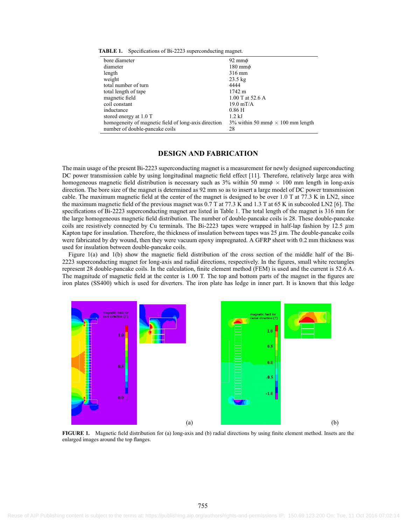| bore diameter                                        | 92 mm $\phi$                                |  |
|------------------------------------------------------|---------------------------------------------|--|
| diameter                                             | $180 \text{ mm}$ $\phi$                     |  |
| length                                               | 316 mm                                      |  |
| weight                                               | $23.5 \text{ kg}$                           |  |
| total number of turn                                 | 4444                                        |  |
| total length of tape                                 | 1742 m                                      |  |
| magnetic field                                       | 1.00 T at 52.6 A                            |  |
| coil constant                                        | $19.0 \text{ mT/A}$                         |  |
| inductance                                           | $0.86$ H                                    |  |
| stored energy at 1.0 T                               | $1.2$ kJ                                    |  |
| homogeneity of magnetic field of long-axis direction | 3% within 50 mm $\phi \times 100$ mm length |  |
| number of double-pancake coils                       | 28                                          |  |
|                                                      |                                             |  |

**TABLE 1.** Specifications of Bi-2223 superconducting magnet.

# **DESIGN AND FABRICATION**

The main usage of the present Bi-2223 superconducting magnet is a measurement for newly designed superconducting DC power transmission cable by using longitudinal magnetic field effect [11]. Therefore, relatively large area with homogeneous magnetic field distribution is necessary such as  $3\%$  within 50 mm $\phi \times 100$  mm length in long-axis direction. The bore size of the magnet is determined as 92 mm so as to insert a large model of DC power transmission cable. The maximum magnetic field at the center of the magnet is designed to be over 1.0 T at 77.3 K in LN2, since the maximum magnetic field of the previous magnet was 0.7 T at 77.3 K and 1.3 T at 65 K in subcooled LN2 [6]. The specifications of Bi-2223 superconducting magnet are listed in Table 1. The total length of the magnet is 316 mm for the large homogeneous magnetic field distribution. The number of double-pancake coils is 28. These double-pancake coils are resistively connected by Cu terminals. The Bi-2223 tapes were wrapped in half-lap fashion by 12.5  $\mu$ m Kapton tape for insulation. Therefore, the thickness of insulation between tapes was  $25 \mu$ m. The double-pancake coils were fabricated by dry wound, then they were vacuum epoxy impregnated. A GFRP sheet with 0.2 mm thickness was used for insulation between double-pancake coils.

Figure 1(a) and 1(b) show the magnetic field distribution of the cross section of the middle half of the Bi-2223 superconducting magnet for long-axis and radial directions, respectively. In the figures, small white rectangles represent 28 double-pancake coils. In the calculation, finite element method (FEM) is used and the current is 52.6 A. The magnitude of magnetic field at the center is 1.00 T. The top and bottom parts of the magnet in the figures are iron plates (SS400) which is used for diverters. The iron plate has ledge in inner part. It is known that this ledge



**FIGURE 1.** Magnetic field distribution for (a) long-axis and (b) radial directions by using finite element method. Insets are the enlarged images around the top flanges.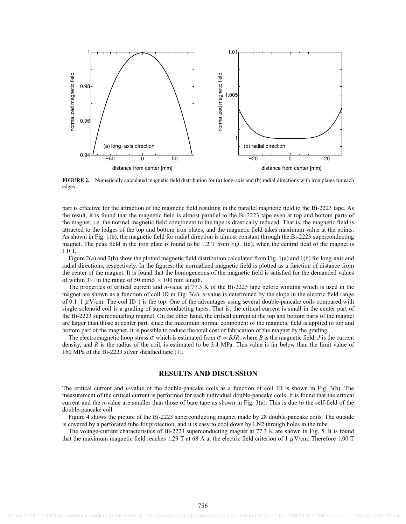

**FIGURE 2.** Numerically calculated magnetic field distribution for (a) long-axis and (b) radial directions with iron plates for each edges.

part is effective for the attraction of the magnetic field resulting in the parallel magnetic field to the Bi-2223 tape. As the result, it is found that the magnetic field is almost parallel to the Bi-2223 tape even at top and bottom parts of the magnet, i.e. the normal magnetic field component to the tape is drastically reduced. That is, the magnetic field is attracted to the ledges of the top and bottom iron plates, and the magnetic field takes maximum value at the points. As shown in Fig. 1(b), the magnetic field for radial direction is almost constant through the Bi-2223 superconducting magnet. The peak field in the iron plate is found to be 1.2 T from Fig. 1(a), when the central field of the magnet is 1.0 T.

Figure 2(a) and 2(b) show the plotted magnetic field distribution calculated from Fig. 1(a) and 1(b) for long-axis and radial directions, respectively. In the figures, the normalized magnetic field is plotted as a function of distance from the center of the magnet. It is found that the homogeneous of the magnetic field is satisfied for the demanded values of within 3% in the range of 50 mm $\phi \times 100$  mm length.

The properties of critical current and *n*-value at 77.3 K of the Bi-2223 tape before winding which is used in the magnet are shown as a function of coil ID in Fig. 3(a). *n*-value is determined by the slope in the electric field range of 0.1–1  $\mu$ V/cm. The coil ID 1 is the top. One of the advantages using several double-pancake coils compared with single solenoid coil is a grading of superconducting tapes. That is, the critical current is small in the center part of the Bi-2223 superconducting magnet. On the other hand, the critical current at the top and bottom parts of the magnet are larger than those at center part, since the maximum normal component of the magnetic field is applied to top and bottom part of the magnet. It is possible to reduce the total cost of fabrication of the magnet by the grading.

The electromagnetic hoop stress  $\sigma$  which is estimated from  $\sigma = B J R$ , where *B* is the magnetic field, *J* is the current density, and  $R$  is the radius of the coil, is estimated to be 3.4 MPa. This value is far below than the limit value of 160 MPa of the Bi-2223 silver sheathed tape [1].

## **RESULTS AND DISCUSSION**

The critical current and *n*-value of the double-pancake coils as a function of coil ID is shown in Fig. 3(b). The measurement of the critical current is performed for each individual double-pancake coils. It is found that the critical current and the *n*-value are smaller than those of bare tape as shown in Fig. 3(a). This is due to the self-field of the double-pancake coil.

Figure 4 shows the picture of the Bi-2223 superconducting magnet made by 28 double-pancake coils. The outside is covered by a perforated tube for protection, and it is easy to cool down by LN2 through holes in the tube.

The voltage-current characteristics of Bi-2223 superconducting magnet at 77.3 K are shown in Fig. 5. It is found that the maximum magnetic field reaches 1.29 T at 68 A at the electric field criterion of 1  $\mu$ V/cm. Therefore 1.00 T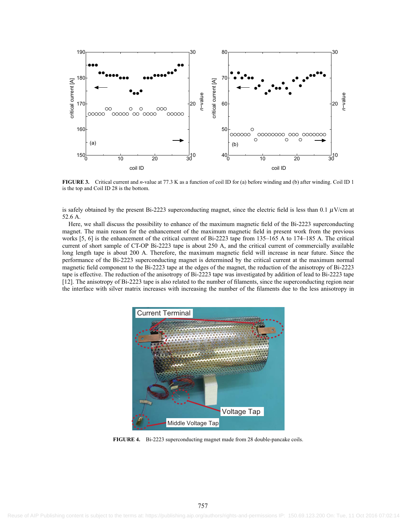

**FIGURE 3.** Critical current and *n*-value at 77.3 K as a function of coil ID for (a) before winding and (b) after winding. Coil ID 1 is the top and Coil ID 28 is the bottom.

is safely obtained by the present Bi-2223 superconducting magnet, since the electric field is less than 0.1  $\mu$ V/cm at 52.6 A.

Here, we shall discuss the possibility to enhance of the maximum magnetic field of the Bi-2223 superconducting magnet. The main reason for the enhancement of the maximum magnetic field in present work from the previous works [5, 6] is the enhancement of the critical current of Bi-2223 tape from 135–165 A to 174–185 A. The critical current of short sample of CT-OP Bi-2223 tape is about 250 A, and the critical current of commercially available long length tape is about 200 A. Therefore, the maximum magnetic field will increase in near future. Since the performance of the Bi-2223 superconducting magnet is determined by the critical current at the maximum normal magnetic field component to the Bi-2223 tape at the edges of the magnet, the reduction of the anisotropy of Bi-2223 tape is effective. The reduction of the anisotropy of Bi-2223 tape was investigated by addition of lead to Bi-2223 tape [12]. The anisotropy of Bi-2223 tape is also related to the number of filaments, since the superconducting region near the interface with silver matrix increases with increasing the number of the filaments due to the less anisotropy in



**FIGURE 4.** Bi-2223 superconducting magnet made from 28 double-pancake coils.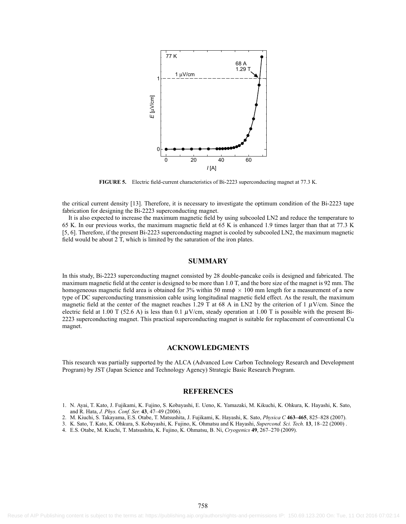

**FIGURE 5.** Electric field-current characteristics of Bi-2223 superconducting magnet at 77.3 K.

the critical current density [13]. Therefore, it is necessary to investigate the optimum condition of the Bi-2223 tape fabrication for designing the Bi-2223 superconducting magnet.

It is also expected to increase the maximum magnetic field by using subcooled LN2 and reduce the temperature to 65 K. In our previous works, the maximum magnetic field at 65 K is enhanced 1.9 times larger than that at 77.3 K [5, 6]. Therefore, if the present Bi-2223 superconducting magnet is cooled by subcooled LN2, the maximum magnetic field would be about 2 T, which is limited by the saturation of the iron plates.

## **SUMMARY**

In this study, Bi-2223 superconducting magnet consisted by 28 double-pancake coils is designed and fabricated. The maximum magnetic field at the center is designed to be more than 1.0 T, and the bore size of the magnet is 92 mm. The homogeneous magnetic field area is obtained for 3% within 50 mm $\phi \times 100$  mm length for a measurement of a new type of DC superconducting transmission cable using longitudinal magnetic field effect. As the result, the maximum magnetic field at the center of the magnet reaches 1.29 T at 68 A in LN2 by the criterion of 1  $\mu$ V/cm. Since the electric field at 1.00 T (52.6 A) is less than 0.1  $\mu$ V/cm, steady operation at 1.00 T is possible with the present Bi-2223 superconducting magnet. This practical superconducting magnet is suitable for replacement of conventional Cu magnet.

#### **ACKNOWLEDGMENTS**

This research was partially supported by the ALCA (Advanced Low Carbon Technology Research and Development Program) by JST (Japan Science and Technology Agency) Strategic Basic Research Program.

#### **REFERENCES**

- 1. N. Ayai, T. Kato, J. Fujikami, K. Fujino, S. Kobayashi, E. Ueno, K. Yamazaki, M. Kikuchi, K. Ohkura, K. Hayashi, K. Sato, and R. Hata, *J. Phys. Conf. Ser.* **43**, 47–49 (2006).
- 2. M. Kiuchi, S. Takayama, E.S. Otabe, T. Matsushita, J. Fujikami, K. Hayashi, K. Sato, *Physica C* **463–465**, 825–828 (2007).
- 3. K. Sato, T. Kato, K. Ohkura, S. Kobayashi, K. Fujino, K. Ohmatsu and K Hayashi, *Supercond. Sci. Tech.* **13**, 18–22 (2000) .
- 4. E.S. Otabe, M. Kiuchi, T. Matsushita, K. Fujino, K. Ohmatsu, B. Ni, *Cryogenics* **49**, 267–270 (2009).